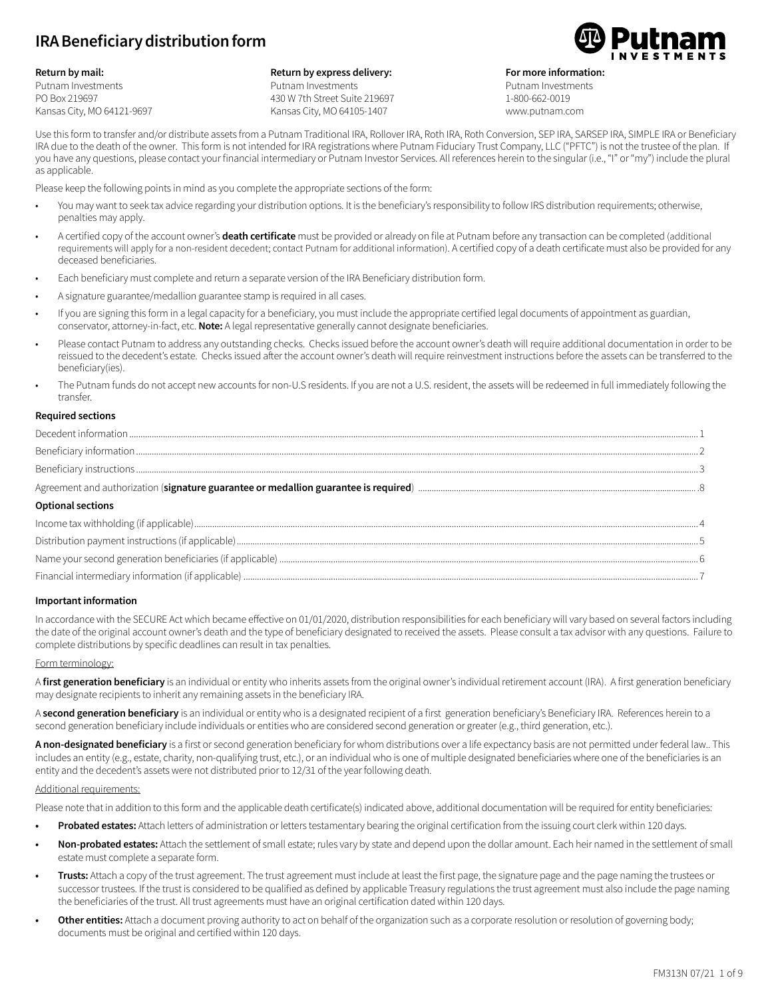# **IRA Beneficiary distribution form**



Putnam Investments PO Box 219697 Kansas City, MO 64121-9697

#### **Return by express delivery:** Putnam Investments 430 W 7th Street Suite 219697 Kansas City, MO 64105-1407



**For more information:**

Putnam Investments 1-800-662-0019 www.putnam.com

Use this form to transfer and/or distribute assets from a Putnam Traditional IRA, Rollover IRA, Roth IRA, Roth Conversion, SEP IRA, SARSEP IRA, SIMPLE IRA or Beneficiary IRA due to the death of the owner. This form is not intended for IRA registrations where Putnam Fiduciary Trust Company, LLC ("PFTC") is not the trustee of the plan. If you have any questions, please contact your financial intermediary or Putnam Investor Services. All references herein to the singular (i.e., "I" or "my") include the plural as applicable.

Please keep the following points in mind as you complete the appropriate sections of the form:

- You may want to seek tax advice regarding your distribution options. It is the beneficiary's responsibility to follow IRS distribution requirements; otherwise, penalties may apply.
- A certified copy of the account owner's **death certificate** must be provided or already on file at Putnam before any transaction can be completed (additional requirements will apply for a non-resident decedent; contact Putnam for additional information). A certified copy of a death certificate must also be provided for any deceased beneficiaries.
- Each beneficiary must complete and return a separate version of the IRA Beneficiary distribution form.
- A signature guarantee/medallion guarantee stamp is required in all cases.
- If you are signing this form in a legal capacity for a beneficiary, you must include the appropriate certified legal documents of appointment as guardian, conservator, attorney-in-fact, etc. **Note:** A legal representative generally cannot designate beneficiaries.
- Please contact Putnam to address any outstanding checks. Checks issued before the account owner's death will require additional documentation in order to be reissued to the decedent's estate. Checks issued after the account owner's death will require reinvestment instructions before the assets can be transferred to the beneficiary(ies).
- The Putnam funds do not accept new accounts for non-U.S residents. If you are not a U.S. resident, the assets will be redeemed in full immediately following the transfer.

#### **Required sections**

| <b>Optional sections</b> |  |
|--------------------------|--|
|                          |  |
|                          |  |
|                          |  |
|                          |  |

#### **Important information**

In accordance with the SECURE Act which became effective on 01/01/2020, distribution responsibilities for each beneficiary will vary based on several factors including the date of the original account owner's death and the type of beneficiary designated to received the assets. Please consult a tax advisor with any questions. Failure to complete distributions by specific deadlines can result in tax penalties.

#### Form terminology:

A **first generation beneficiary** is an individual or entity who inherits assets from the original owner's individual retirement account (IRA). A first generation beneficiary may designate recipients to inherit any remaining assets in the beneficiary IRA.

A second generation beneficiary is an individual or entity who is a designated recipient of a first generation beneficiary's Beneficiary IRA. References herein to a second generation beneficiary include individuals or entities who are considered second generation or greater (e.g., third generation, etc.).

**A non-designated beneficiary** is a first or second generation beneficiary for whom distributions over a life expectancy basis are not permitted under federal law.. This includes an entity (e.g., estate, charity, non-qualifying trust, etc.), or an individual who is one of multiple designated beneficiaries where one of the beneficiaries is an entity and the decedent's assets were not distributed prior to 12/31 of the year following death.

## Additional requirements:

Please note that in addition to this form and the applicable death certificate(s) indicated above, additional documentation will be required for entity beneficiaries:

- **• Probated estates:** Attach letters of administration or letters testamentary bearing the original certification from the issuing court clerk within 120 days.
- **• Non-probated estates:** Attach the settlement of small estate; rules vary by state and depend upon the dollar amount. Each heir named in the settlement of small estate must complete a separate form.
- **• Trusts:** Attach a copy of the trust agreement. The trust agreement must include at least the first page, the signature page and the page naming the trustees or successor trustees. If the trust is considered to be qualified as defined by applicable Treasury regulations the trust agreement must also include the page naming the beneficiaries of the trust. All trust agreements must have an original certification dated within 120 days.
- **• Other entities:** Attach a document proving authority to act on behalf of the organization such as a corporate resolution or resolution of governing body; documents must be original and certified within 120 days.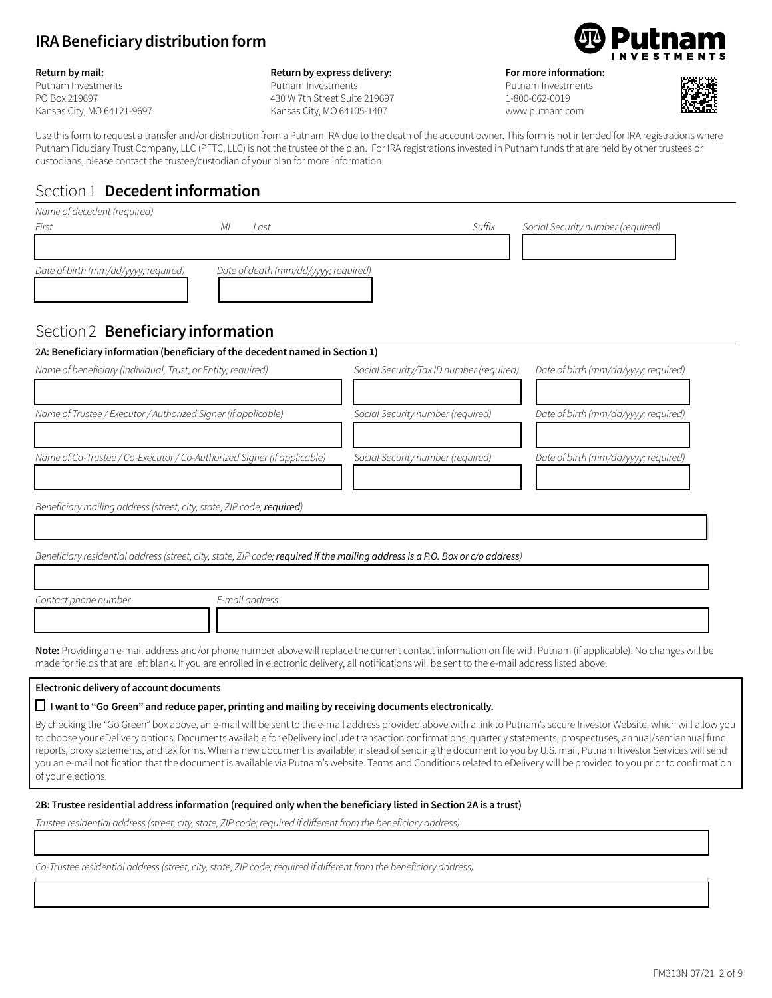# **IRA Beneficiary distribution form**

#### **Return by mail:**

Putnam Investments PO Box 219697 Kansas City, MO 64121-9697

#### **Return by express delivery:** Putnam Investments 430 W 7th Street Suite 219697

Kansas City, MO 64105-1407



**For more information:** 

Putnam Investments 1-800-662-0019 www.putnam.com



Use this form to request a transfer and/or distribution from a Putnam IRA due to the death of the account owner. This form is not intended for IRA registrations where Putnam Fiduciary Trust Company, LLC (PFTC, LLC) is not the trustee of the plan. For IRA registrations invested in Putnam funds that are held by other trustees or custodians, please contact the trustee/custodian of your plan for more information.

# Section 1 **Decedent information**

| Name of decedent (required)          |                                      |        |                                   |
|--------------------------------------|--------------------------------------|--------|-----------------------------------|
| First                                | Last<br>MI                           | Suffix | Social Security number (required) |
|                                      |                                      |        |                                   |
|                                      |                                      |        |                                   |
| Date of birth (mm/dd/yyyy; required) | Date of death (mm/dd/yyyy; required) |        |                                   |
|                                      |                                      |        |                                   |
|                                      |                                      |        |                                   |

## Section 2 **Beneficiary information**

## **2A: Beneficiary information (beneficiary of the decedent named in Section 1)**

| Name of beneficiary (Individual, Trust, or Entity; required)            | Social Security/Tax ID number (required) | Date of birth (mm/dd/yyyy; required) |
|-------------------------------------------------------------------------|------------------------------------------|--------------------------------------|
| Name of Trustee / Executor / Authorized Signer (if applicable)          | Social Security number (required)        | Date of birth (mm/dd/yyyy; required) |
| Name of Co-Trustee / Co-Executor / Co-Authorized Signer (if applicable) | Social Security number (required)        | Date of birth (mm/dd/yyyy; required) |
| Beneficiary mailing address (street, city, state, ZIP code; required)   |                                          |                                      |

*Beneficiary residential address(street, city,state, ZIP code;required if the mailing address is a P.O. Box or c/o address)*

| Contact phone number | E-mail address |  |
|----------------------|----------------|--|
|                      |                |  |
|                      |                |  |

13333333333333333333333333333333333333334

**Note:** Providing an e-mail address and/or phone number above will replace the current contact information on file with Putnam (if applicable). No changes will be made for fields that are left blank. If you are enrolled in electronic delivery, all notifications will be sent to the e-mail address listed above.

## **Electronic delivery of account documents**

## o **I want to "Go Green" and reduce paper, printing and mailing by receiving documents electronically.**

By checking the "Go Green" box above, an e-mail will be sent to the e-mail address provided above with a link to Putnam's secure Investor Website, which will allow you to choose your eDelivery options. Documents available for eDelivery include transaction confirmations, quarterly statements, prospectuses, annual/semiannual fund reports, proxy statements, and tax forms. When a new document is available, instead of sending the document to you by U.S. mail, Putnam Investor Services will send you an e-mail notification that the document is available via Putnam's website. Terms and Conditions related to eDelivery will be provided to you prior to confirmation of your elections.

13333333333333333333333333333333333333334

## **2B: Trustee residential address information (required only when the beneficiary listed in Section 2A is a trust)**

*Trustee residential address(street, city,state, ZIP code; required if different from the beneficiary address)*

13333333333333333333333333333333333333334 *Co-Trustee residential address(street, city,state, ZIP code; required if different from the beneficiary address)*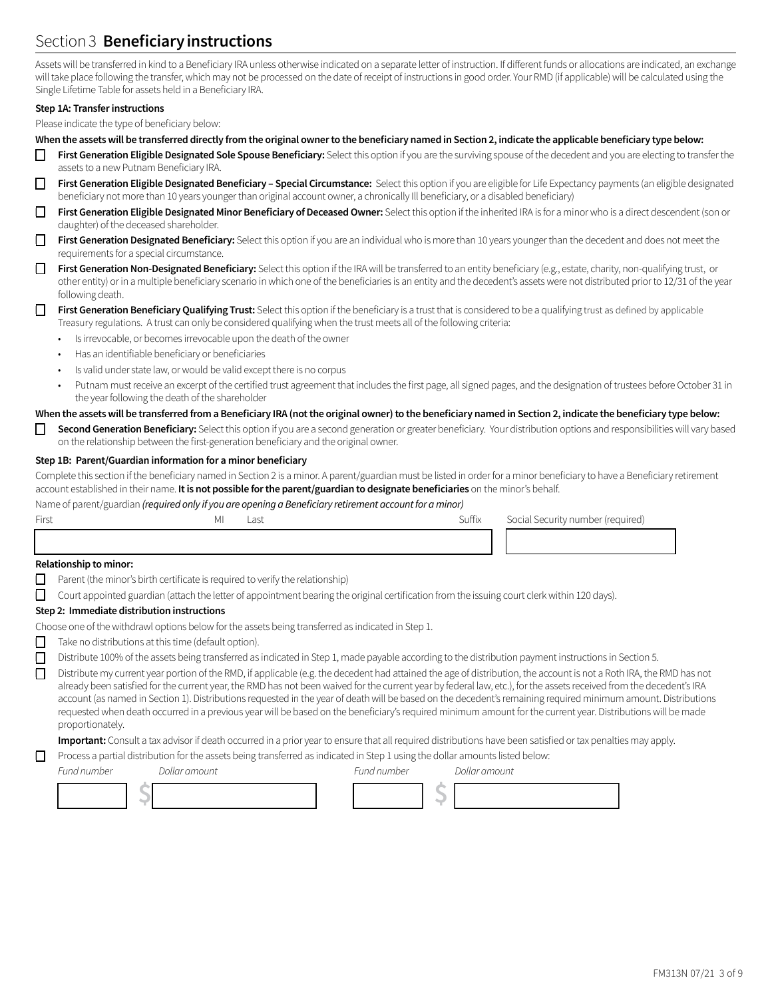# Section 3 **Beneficiary instructions**

Assets will be transferred in kind to a Beneficiary IRA unless otherwise indicated on a separate letter of instruction. If different funds or allocations are indicated, an exchange will take place following the transfer, which may not be processed on the date of receipt of instructions in good order. Your RMD (if applicable) will be calculated using the Single Lifetime Table for assets held in a Beneficiary IRA.

#### **Step 1A: Transfer instructions**

Please indicate the type of beneficiary below:

- **When the assets will be transferred directly from the original owner to the beneficiary named in Section 2, indicate the applicable beneficiary type below:**
- **❒ First Generation Eligible Designated Sole Spouse Beneficiary:** Select this option if you are the surviving spouse of the decedent and you are electing to transfer the assets to a new Putnam Beneficiary IRA.
- **❒ First Generation Eligible Designated Beneficiary Special Circumstance:** Select this option if you are eligible for Life Expectancy payments (an eligible designated beneficiary not more than 10 years younger than original account owner, a chronically Ill beneficiary, or a disabled beneficiary)
- **❒ First Generation Eligible Designated Minor Beneficiary of Deceased Owner:** Select this option if the inherited IRA is for a minor who is a direct descendent (son or daughter) of the deceased shareholder.
- **❒ First Generation Designated Beneficiary:** Select this option if you are an individual who is more than 10 years younger than the decedent and does not meet the requirements for a special circumstance.
- **❒ First Generation Non-Designated Beneficiary:** Select this option if the IRA will be transferred to an entity beneficiary (e.g., estate, charity, non-qualifying trust, or other entity) or in a multiple beneficiary scenario in which one of the beneficiaries is an entity and the decedent's assets were not distributed prior to 12/31 of the year following death.

#### **❒ First Generation Beneficiary Qualifying Trust:** Select this option if the beneficiary is a trust that is considered to be a qualifying trust as defined by applicable Treasury regulations. A trust can only be considered qualifying when the trust meets all of the following criteria:

- Is irrevocable, or becomes irrevocable upon the death of the owner
- Has an identifiable beneficiary or beneficiaries
- Is valid under state law, or would be valid except there is no corpus
- Putnam must receive an excerpt of the certified trust agreement that includes the first page, all signed pages, and the designation of trustees before October 31 in the year following the death of the shareholder

## **When the assets will be transferred from a Beneficiary IRA (not the original owner) to the beneficiary named in Section 2, indicate the beneficiary type below:**

**❒ Second Generation Beneficiary:** Select this option if you are a second generation or greater beneficiary. Your distribution options and responsibilities will vary based on the relationship between the first-generation beneficiary and the original owner.

## **Step 1B: Parent/Guardian information for a minor beneficiary**

Complete this section if the beneficiary named in Section 2 is a minor. A parent/guardian must be listed in order for a minor beneficiary to have a Beneficiary retirement account established in their name. **It is not possible for the parent/guardian to designate beneficiaries** on the minor's behalf.

Name of parent/guardian *(required only if you are opening a Beneficiary retirement account for a minor)*

| First | ΜI | __<br>Last | Suffix | Social Security number (required) |
|-------|----|------------|--------|-----------------------------------|
|       |    |            |        |                                   |
| .     |    |            |        |                                   |

#### **Relationship to minor:**

- **❒** Parent (the minor's birth certificate is required to verify the relationship)
- **❒** Court appointed guardian (attach the letter of appointment bearing the original certification from the issuing court clerk within 120 days).

## **Step 2: Immediate distribution instructions**

Choose one of the withdrawl options below for the assets being transferred as indicated in Step 1.

- 
- **❒** Take no distributions at this time (default option).
- **❒** Distribute 100% of the assets being transferred as indicated in Step 1, made payable according to the distribution payment instructions in Section 5.

**❒** Distribute my current year portion of the RMD, if applicable (e.g. the decedent had attained the age of distribution, the account is not a Roth IRA, the RMD has not already been satisfied for the current year, the RMD has not been waived for the current year by federal law, etc.), for the assets received from the decedent's IRA account (as named in Section 1). Distributions requested in the year of death will be based on the decedent's remaining required minimum amount. Distributions requested when death occurred in a previous year will be based on the beneficiary's required minimum amount for the current year. Distributions will be made proportionately.

**Important:** Consult a tax advisor if death occurred in a prior year to ensure that all required distributions have been satisfied or tax penalties may apply.

**❒** Process a partial distribution for the assets being transferred as indicated in Step 1 using the dollar amounts listed below:

*Fund number Dollar amount Fund number Dollar amount*

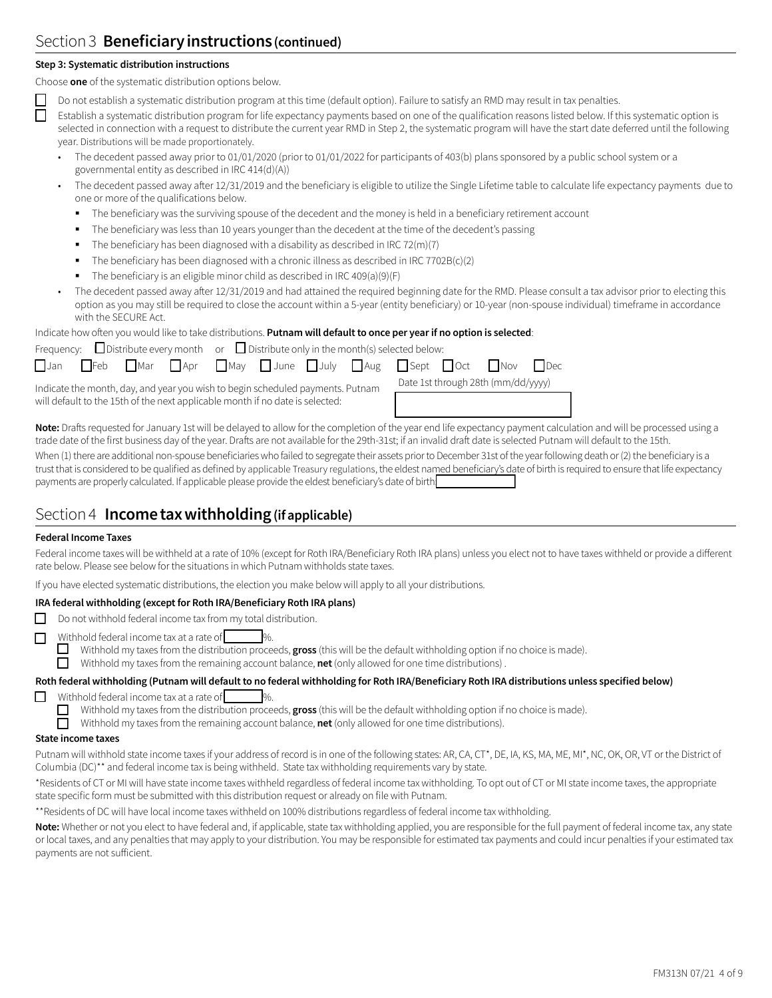# Section 3 **Beneficiary instructions (continued)**

## **Step 3: Systematic distribution instructions**

Choose **one** of the systematic distribution options below.

**❒** Do not establish a systematic distribution program at this time (default option). Failure to satisfy an RMD may result in tax penalties.

**❒** Establish a systematic distribution program for life expectancy payments based on one of the qualification reasons listed below. If this systematic option is selected in connection with a request to distribute the current year RMD in Step 2, the systematic program will have the start date deferred until the following year. Distributions will be made proportionately.

- The decedent passed away prior to 01/01/2020 (prior to 01/01/2022 for participants of 403(b) plans sponsored by a public school system or a governmental entity as described in IRC 414(d)(A))
- The decedent passed away after 12/31/2019 and the beneficiary is eligible to utilize the Single Lifetime table to calculate life expectancy payments due to one or more of the qualifications below.
	- The beneficiary was the surviving spouse of the decedent and the money is held in a beneficiary retirement account
	- The beneficiary was less than 10 years younger than the decedent at the time of the decedent's passing
	- The beneficiary has been diagnosed with a disability as described in IRC 72(m)(7)
	- The beneficiary has been diagnosed with a chronic illness as described in IRC 7702B(c)(2)
	- The beneficiary is an eligible minor child as described in IRC 409(a)(9)(F)
- The decedent passed away after 12/31/2019 and had attained the required beginning date for the RMD. Please consult a tax advisor prior to electing this option as you may still be required to close the account within a 5-year (entity beneficiary) or 10-year (non-spouse individual) timeframe in accordance with the SECURE Act.

Indicate how often you would like to take distributions. **Putnam will default to once per year if no option is selected**:

| Frequency: $\Box$ Distribute every month or $\Box$ Distribute only in the month(s) selected below: |                                                                                                                                        |
|----------------------------------------------------------------------------------------------------|----------------------------------------------------------------------------------------------------------------------------------------|
|                                                                                                    | $\Box$ Jan $\Box$ Feb $\Box$ Mar $\Box$ Apr $\Box$ May $\Box$ June $\Box$ July $\Box$ Aug $\Box$ Sept $\Box$ Oct $\Box$ Nov $\Box$ Dec |
| Indicate the month, day, and year you wish to begin scheduled payments. Putnam                     | Date 1st through 28th (mm/dd/yyyy)                                                                                                     |

will default to the 15th of the next applicable month if no date is selected:

| Date 1st through 28th (mm/dd/yyyy) |  |
|------------------------------------|--|
|                                    |  |

**Note:** Drafts requested for January 1st will be delayed to allow for the completion of the year end life expectancy payment calculation and will be processed using a trade date of the first business day of the year. Drafts are not available for the 29th-31st; if an invalid draft date is selected Putnam will default to the 15th. When (1) there are additional non-spouse beneficiaries who failed to segregate their assets prior to December 31st of the year following death or (2) the beneficiary is a trust that is considered to be qualified as defined by applicable Treasury regulations, the eldest named beneficiary's date of birth is required to ensure that life expectancy payments are properly calculated. If applicable please provide the eldest beneficiary's date of birth

## Section 4 **Income tax withholding (if applicable)**

## **Federal Income Taxes**

Federal income taxes will be withheld at a rate of 10% (except for Roth IRA/Beneficiary Roth IRA plans) unless you elect not to have taxes withheld or provide a different rate below. Please see below for the situations in which Putnam withholds state taxes.

If you have elected systematic distributions, the election you make below will apply to all your distributions.

## **IRA federal withholding (except for Roth IRA/Beneficiary Roth IRA plans)**

- $\Box$  Do not withhold federal income tax from my total distribution.
- **O** Withhold federal income tax at a rate of  $\Box$  Withhold my taxes from the distribution proce
	- Withhold my taxes from the distribution proceeds, gross (this will be the default withholding option if no choice is made).

Withhold my taxes from the remaining account balance, **net** (only allowed for one time distributions).

## **Roth federal withholding (Putnam will default to no federal withholding for Roth IRA/Beneficiary Roth IRA distributions unless specified below)**

- Withhold federal income tax at a rate of
	- $\Box$  Withhold my taxes from the distribution proceeds, **gross** (this will be the default withholding option if no choice is made).

Withhold my taxes from the remaining account balance, **net** (only allowed for one time distributions).

#### **State income taxes**

Putnam will withhold state income taxes if your address of record is in one of the following states: AR, CA, CT\*, DE, IA, KS, MA, ME, MI\*, NC, OK, OR, VT or the District of Columbia (DC)\*\* and federal income tax is being withheld. State tax withholding requirements vary by state.

\*Residents of CT or MI will have state income taxes withheld regardless of federal income tax withholding. To opt out of CT or MI state income taxes, the appropriate state specific form must be submitted with this distribution request or already on file with Putnam.

\*\*Residents of DC will have local income taxes withheld on 100% distributions regardless of federal income tax withholding.

Note: Whether or not you elect to have federal and, if applicable, state tax withholding applied, you are responsible for the full payment of federal income tax, any state or local taxes, and any penalties that may apply to your distribution. You may be responsible for estimated tax payments and could incur penalties if your estimated tax payments are not sufficient.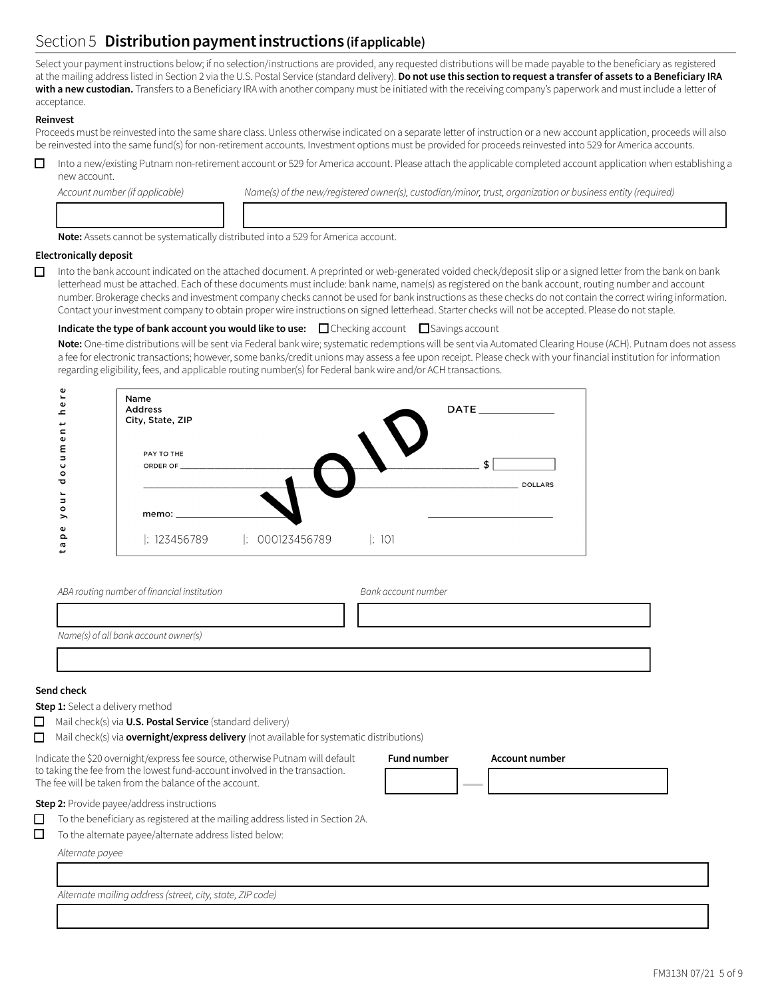# Section 5 **Distribution payment instructions (if applicable)**

Select your payment instructions below; if no selection/instructions are provided, any requested distributions will be made payable to the beneficiary as registered at the mailing address listed in Section 2 via the U.S. Postal Service (standard delivery). **Do not use this section to request a transfer of assets to a Beneficiary IRA**  with a new custodian. Transfers to a Beneficiary IRA with another company must be initiated with the receiving company's paperwork and must include a letter of acceptance.

## **Reinvest**

Proceeds must be reinvested into the same share class. Unless otherwise indicated on a separate letter of instruction or a new account application, proceeds will also be reinvested into the same fund(s) for non-retirement accounts. Investment options must be provided for proceeds reinvested into 529 for America accounts.

 $\Box$  Into a new/existing Putnam non-retirement account or 529 for America account. Please attach the applicable completed account application when establishing a new account.

12222222224 133333333333333333333333333334

Account number (if applicable) Name(s) of the new/registered owner(s), custodian/minor, trust, organization or business entity (required)

**Note:** Assets cannot be systematically distributed into a 529 for America account.

## **Electronically deposit**

 $\Box$  Into the bank account indicated on the attached document. A preprinted or web-generated voided check/deposit slip or a signed letter from the bank on bank letterhead must be attached. Each of these documents must include: bank name, name(s) as registered on the bank account, routing number and account number. Brokerage checks and investment company checks cannot be used for bank instructions as these checks do not contain the correct wiring information. Contact your investment company to obtain proper wire instructions on signed letterhead. Starter checks will not be accepted. Please do not staple.

## **Indicate the type of bank account you would like to use:**  $\Box$  Checking account  $\Box$  Savings account

**Note:** One-time distributions will be sent via Federal bank wire; systematic redemptions will be sent via Automated Clearing House (ACH). Putnam does not assess a fee for electronic transactions; however, some banks/credit unions may assess a fee upon receipt. Please check with your financial institution for information regarding eligibility, fees, and applicable routing number(s) for Federal bank wire and/or ACH transactions.



| ABA routing number of financial institution | Bank account number |
|---------------------------------------------|---------------------|
|                                             |                     |
| Name(s) of all bank account owner(s)        |                     |
|                                             |                     |

13333333333333333333333333333333333334

#### **Send check**

**Step 1:** Select a delivery method

- **O** Mail check(s) via **U.S. Postal Service** (standard delivery)
- $\Box$  Mail check(s) via **overnight/express delivery** (not available for systematic distributions)

Indicate the \$20 overnight/express fee source, otherwise Putnam will default to taking the fee from the lowest fund-account involved in the transaction. The fee will be taken from the balance of the account.

**Step 2:** Provide payee/address instructions

| $\Box$ To the beneficiary as registered at the mailing address listed in Section 2A. |  |  |
|--------------------------------------------------------------------------------------|--|--|
|                                                                                      |  |  |
|                                                                                      |  |  |

 $\Box$  To the alternate payee/alternate address listed below:

*Alternate payee*

13333333333333333333333333333333333334 *Alternate mailing address(street, city,state, ZIP code)* 

**Fund number Account number**

12224 **—** 12222222224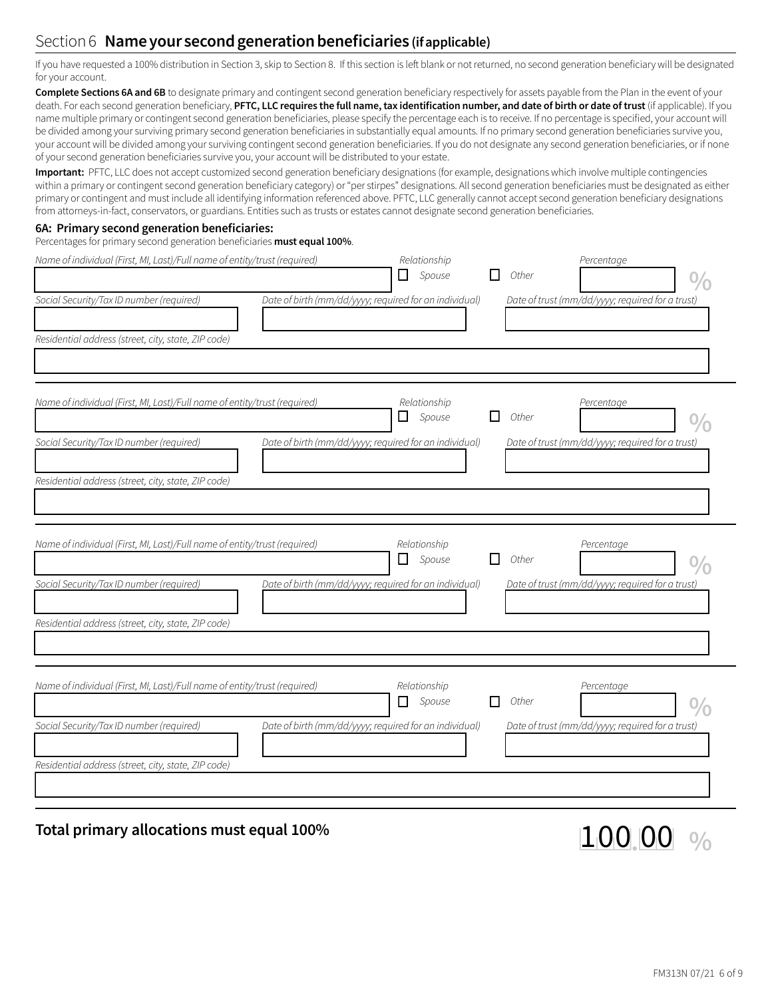# Section 6 **Name your second generation beneficiaries (if applicable)**

If you have requested a 100% distribution in Section 3, skip to Section 8. If this section is left blank or not returned, no second generation beneficiary will be designated for your account.

**Complete Sections 6A and 6B** to designate primary and contingent second generation beneficiary respectively for assets payable from the Plan in the event of your death. For each second generation beneficiary, **PFTC, LLC requires the full name, tax identification number, and date of birth or date of trust** (if applicable). If you name multiple primary or contingent second generation beneficiaries, please specify the percentage each is to receive. If no percentage is specified, your account will be divided among your surviving primary second generation beneficiaries in substantially equal amounts. If no primary second generation beneficiaries survive you, your account will be divided among your surviving contingent second generation beneficiaries. If you do not designate any second generation beneficiaries, or if none of your second generation beneficiaries survive you, your account will be distributed to your estate.

**Important:** PFTC, LLC does not accept customized second generation beneficiary designations (for example, designations which involve multiple contingencies within a primary or contingent second generation beneficiary category) or "per stirpes" designations. All second generation beneficiaries must be designated as either primary or contingent and must include all identifying information referenced above. PFTC, LLC generally cannot accept second generation beneficiary designations from attorneys-in-fact, conservators, or guardians. Entities such as trusts or estates cannot designate second generation beneficiaries.

#### **6A: Primary second generation beneficiaries:**

## Percentages for primary second generation beneficiaries **must equal 100%**.

| Name of individual (First, MI, Last)/Full name of entity/trust (required)<br>Social Security/Tax ID number (required)<br>Date of birth (mm/dd/yyyy; required for an individual)<br>Residential address (street, city, state, ZIP code) | Relationship<br>$\Box$ Spouse | Other        | Percentage<br>Date of trust (mm/dd/yyyy; required for a trust) |
|----------------------------------------------------------------------------------------------------------------------------------------------------------------------------------------------------------------------------------------|-------------------------------|--------------|----------------------------------------------------------------|
| Name of individual (First, MI, Last)/Full name of entity/trust (required)<br>Date of birth (mm/dd/yyyy; required for an individual)<br>Social Security/Tax ID number (required)<br>Residential address (street, city, state, ZIP code) | Relationship<br>$\Box$ Spouse | l I<br>Other | Percentage<br>Date of trust (mm/dd/yyyy; required for a trust) |
| Name of individual (First, MI, Last)/Full name of entity/trust (required)<br>Social Security/Tax ID number (required)<br>Date of birth (mm/dd/yyyy; required for an individual)<br>Residential address (street, city, state, ZIP code) | Relationship<br>$\Box$ Spouse | Other<br>l I | Percentage<br>Date of trust (mm/dd/yyyy; required for a trust) |
| Name of individual (First, MI, Last)/Full name of entity/trust (required)<br>Date of birth (mm/dd/yyyy; required for an individual)<br>Social Security/Tax ID number (required)<br>Residential address (street, city, state, ZIP code) | Relationship<br>$\Box$ Spouse | Other<br>l I | Percentage<br>Date of trust (mm/dd/yyyy; required for a trust) |

# **T**otal primary allocations must equal 100% 122 1 0  $\left| 100 \right| 00$   $\left| 9\right>$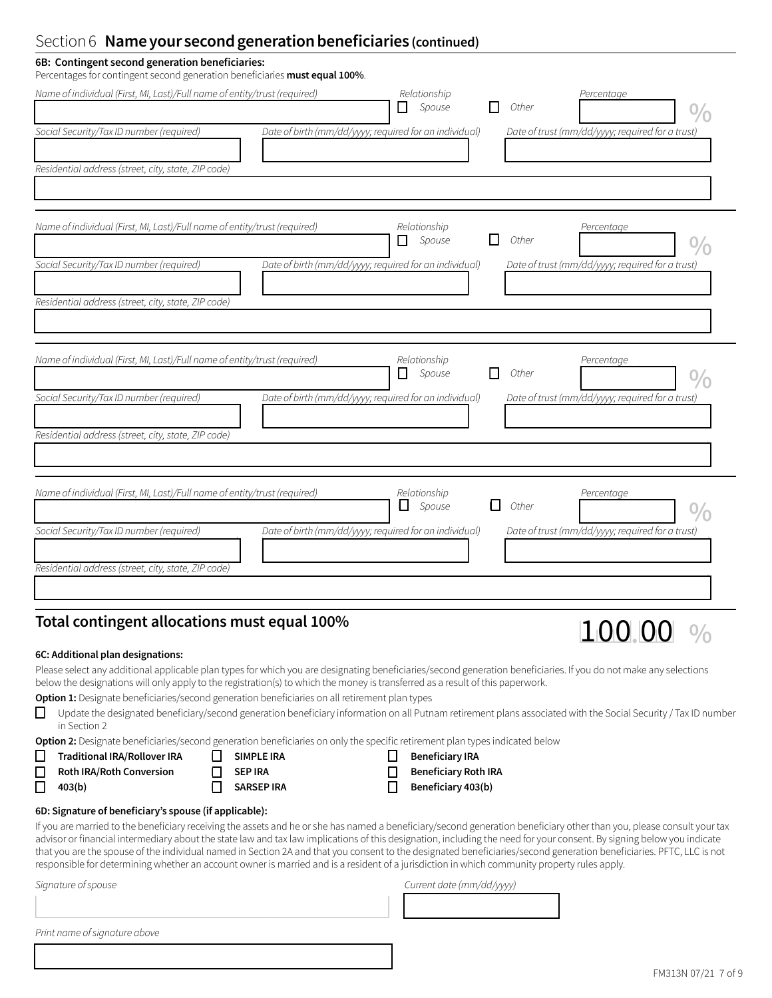# Section 6 **Name your second generation beneficiaries (continued)**

| 6B: Contingent second generation beneficiaries:<br>Percentages for contingent second generation beneficiaries must equal 100%. |                                                        |                               |     |       |                                                  |  |
|--------------------------------------------------------------------------------------------------------------------------------|--------------------------------------------------------|-------------------------------|-----|-------|--------------------------------------------------|--|
| Name of individual (First, MI, Last)/Full name of entity/trust (required)                                                      |                                                        | Relationship<br>$\Box$ Spouse |     | Other | Percentage                                       |  |
| Social Security/Tax ID number (required)                                                                                       | Date of birth (mm/dd/yyyy; required for an individual) |                               |     |       | Date of trust (mm/dd/yyyy; required for a trust) |  |
| Residential address (street, city, state, ZIP code)                                                                            |                                                        |                               |     |       |                                                  |  |
| Name of individual (First, MI, Last)/Full name of entity/trust (required)                                                      |                                                        | Relationship<br>$\Box$ Spouse |     | Other | Percentage                                       |  |
| Social Security/Tax ID number (required)                                                                                       | Date of birth (mm/dd/yyyy; required for an individual) |                               |     |       | Date of trust (mm/dd/yyyy; required for a trust) |  |
| Residential address (street, city, state, ZIP code)                                                                            |                                                        |                               |     |       |                                                  |  |
| Name of individual (First, MI, Last)/Full name of entity/trust (required)                                                      |                                                        | Relationship<br>Spouse<br>П.  |     | Other | Percentage                                       |  |
| Social Security/Tax ID number (required)<br>Residential address (street, city, state, ZIP code)                                | Date of birth (mm/dd/yyyy; required for an individual) |                               |     |       | Date of trust (mm/dd/yyyy; required for a trust) |  |
|                                                                                                                                |                                                        |                               |     |       |                                                  |  |
| Name of individual (First, MI, Last)/Full name of entity/trust (required)                                                      |                                                        | Relationship<br>$\Box$ Spouse | 1 I | Other | Percentage                                       |  |
| Social Security/Tax ID number (required)                                                                                       | Date of birth (mm/dd/yyyy; required for an individual) |                               |     |       | Date of trust (mm/dd/yyyy; required for a trust) |  |
| Residential address (street, city, state, ZIP code)                                                                            |                                                        |                               |     |       |                                                  |  |

# Total contingent allocations must equal 100%<br>  $\begin{array}{r} \hline \text{Total contingent allocations must equal 100\%}\end{array}$

## **6C: Additional plan designations:**

Please select any additional applicable plan types for which you are designating beneficiaries/second generation beneficiaries. If you do not make any selections below the designations will only apply to the registration(s) to which the money is transferred as a result of this paperwork.

**Option 1:** Designate beneficiaries/second generation beneficiaries on all retirement plan types

1333333333333333333334

**❒** Update the designated beneficiary/second generation beneficiary information on all Putnam retirement plans associated with the Social Security / Tax ID number in Section 2

Option 2: Designate beneficiaries/second generation beneficiaries on only the specific retirement plan types indicated below

1333333333333333333334 1333333334

| $\Box$ | <b>Traditional IRA/Rollover IRA</b> |
|--------|-------------------------------------|
| $\Box$ | <b>Roth IRA/Roth Conversion</b>     |
|        | $\Box$ 403(b)                       |

| ΙI | SIMPLE IRA     |
|----|----------------|
| П  | <b>SEP IRA</b> |
|    | SARSEP IRA     |

| $\Box$ Beneficiary IRA      |
|-----------------------------|
| <b>Beneficiary Roth IRA</b> |
| $\Box$ Reneficiary 403(b)   |

| $\mathbf{r}$ | <b>DELIELICIALY IRA</b>     |
|--------------|-----------------------------|
| l I          | <b>Beneficiary Roth IRA</b> |
|              | Beneficiary 403(b)          |

## **6D: Signature of beneficiary's spouse (if applicable):**

If you are married to the beneficiary receiving the assets and he or she has named a beneficiary/second generation beneficiary other than you, please consult your tax advisor or financial intermediary about the state law and tax law implications of this designation, including the need for your consent. By signing below you indicate that you are the spouse of the individual named in Section 2A and that you consent to the designated beneficiaries/second generation beneficiaries. PFTC, LLC is not responsible for determining whether an account owner is married and is a resident of a jurisdiction in which community property rules apply.

## *Signature ofspouse Current date (mm/dd/yyyy)*

*Print name ofsignature above*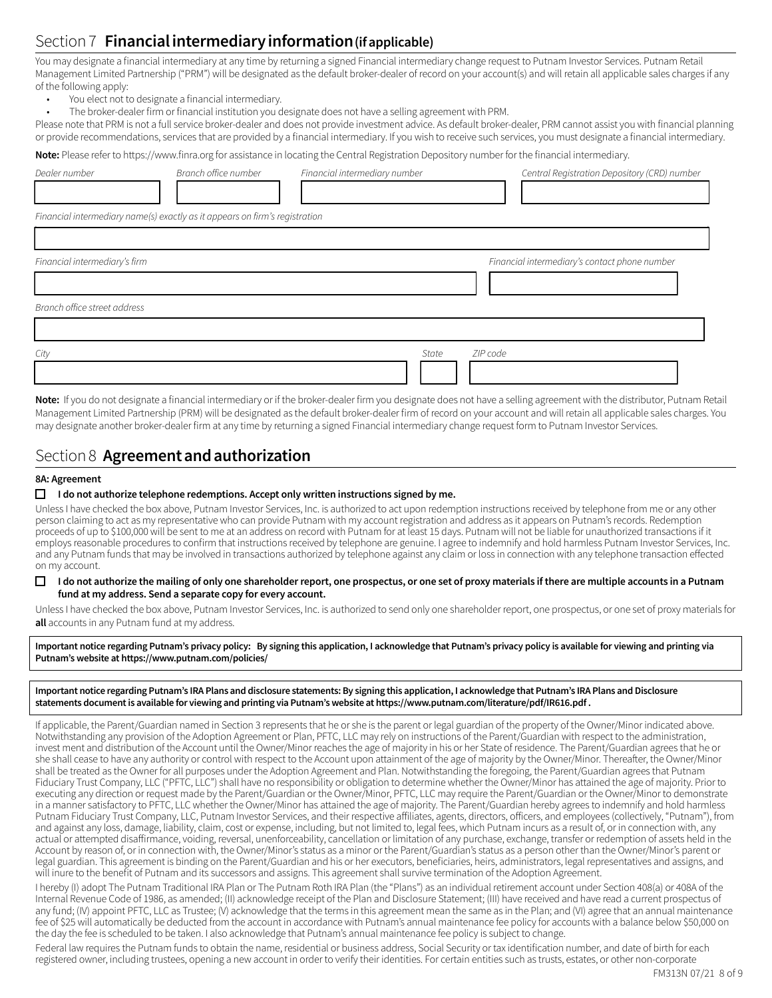# Section 7 **Financial intermediary information(if applicable)**

You may designate a financial intermediary at any time by returning a signed Financial intermediary change request to Putnam Investor Services. Putnam Retail Management Limited Partnership ("PRM") will be designated as the default broker-dealer of record on your account(s) and will retain all applicable sales charges if any of the following apply:

- You elect not to designate a financial intermediary.
- The broker-dealer firm or financial institution you designate does not have a selling agreement with PRM.

Please note that PRM is not a full service broker-dealer and does not provide investment advice. As default broker-dealer, PRM cannot assist you with financial planning or provide recommendations, services that are provided by a financial intermediary. If you wish to receive such services, you must designate a financial intermediary.

**Note:** Please refer to https://www.finra.org for assistance in locating the Central Registration Depository number for the financial intermediary.

| Dealer number                 | Branch office number                                                        | Financial intermediary number | Central Registration Depository (CRD) number  |
|-------------------------------|-----------------------------------------------------------------------------|-------------------------------|-----------------------------------------------|
|                               |                                                                             |                               |                                               |
|                               | Financial intermediary name(s) exactly as it appears on firm's registration |                               |                                               |
|                               |                                                                             |                               |                                               |
| Financial intermediary's firm |                                                                             |                               | Financial intermediary's contact phone number |
|                               |                                                                             |                               |                                               |
| Branch office street address  |                                                                             |                               |                                               |
|                               |                                                                             |                               |                                               |
| City                          |                                                                             | State                         | ZIP code                                      |
|                               |                                                                             |                               |                                               |

**Note:** If you do not designate a financial intermediary or if the broker-dealer firm you designate does not have a selling agreement with the distributor, Putnam Retail Management Limited Partnership (PRM) will be designated as the default broker-dealer firm of record on your account and will retain all applicable sales charges. You may designate another broker-dealer firm at any time by returning a signed Financial intermediary change request form to Putnam Investor Services.

## Section 8 **Agreement and authorization**

#### **8A: Agreement**

#### $\Box$  I do not authorize telephone redemptions. Accept only written instructions signed by me.

Unless I have checked the box above, Putnam Investor Services, Inc. is authorized to act upon redemption instructions received by telephone from me or any other person claiming to act as my representative who can provide Putnam with my account registration and address as it appears on Putnam's records. Redemption proceeds of up to \$100,000 will be sent to me at an address on record with Putnam for at least 15 days. Putnam will not be liable for unauthorized transactions if it employs reasonable procedures to confirm that instructions received by telephone are genuine. I agree to indemnify and hold harmless Putnam Investor Services, Inc. and any Putnam funds that may be involved in transactions authorized by telephone against any claim or loss in connection with any telephone transaction effected on my account.

#### **❒ I do not authorize the mailing of only one shareholder report, one prospectus, or one set of proxy materials if there are multiple accounts in a Putnam fund at my address. Send a separate copy for every account.**

Unless I have checked the box above, Putnam Investor Services, Inc. is authorized to send only one shareholder report, one prospectus, or one set of proxy materials for **all** accounts in any Putnam fund at my address.

**Important notice regarding Putnam's privacy policy: By signing this application, I acknowledge that Putnam's privacy policy is available for viewing and printing via Putnam's website at https://www.putnam.com/policies/**

#### **Important notice regarding Putnam's IRA Plans and disclosure statements: By signing this application, I acknowledge that Putnam's IRA Plans and Disclosure statements document is available for viewing and printing via Putnam's website at https://www.putnam.com/literature/pdf/IR616.pdf .**

If applicable, the Parent/Guardian named in Section 3 represents that he or she is the parent or legal guardian of the property of the Owner/Minor indicated above. Notwithstanding any provision of the Adoption Agreement or Plan, PFTC, LLC may rely on instructions of the Parent/Guardian with respect to the administration, invest ment and distribution of the Account until the Owner/Minor reaches the age of majority in his or her State of residence. The Parent/Guardian agrees that he or she shall cease to have any authority or control with respect to the Account upon attainment of the age of majority by the Owner/Minor. Thereafter, the Owner/Minor shall be treated as the Owner for all purposes under the Adoption Agreement and Plan. Notwithstanding the foregoing, the Parent/Guardian agrees that Putnam Fiduciary Trust Company, LLC ("PFTC, LLC") shall have no responsibility or obligation to determine whether the Owner/Minor has attained the age of majority. Prior to executing any direction or request made by the Parent/Guardian or the Owner/Minor, PFTC, LLC may require the Parent/Guardian or the Owner/Minor to demonstrate in a manner satisfactory to PFTC, LLC whether the Owner/Minor has attained the age of majority. The Parent/Guardian hereby agrees to indemnify and hold harmless Putnam Fiduciary Trust Company, LLC, Putnam Investor Services, and their respective affiliates, agents, directors, officers, and employees (collectively, "Putnam"), from and against any loss, damage, liability, claim, cost or expense, including, but not limited to, legal fees, which Putnam incurs as a result of, or in connection with, any actual or attempted disaffirmance, voiding, reversal, unenforceability, cancellation or limitation of any purchase, exchange, transfer or redemption of assets held in the Account by reason of, or in connection with, the Owner/Minor's status as a minor or the Parent/Guardian's status as a person other than the Owner/Minor's parent or legal guardian. This agreement is binding on the Parent/Guardian and his or her executors, beneficiaries, heirs, administrators, legal representatives and assigns, and will inure to the benefit of Putnam and its successors and assigns. This agreement shall survive termination of the Adoption Agreement.

I hereby (I) adopt The Putnam Traditional IRA Plan or The Putnam Roth IRA Plan (the "Plans") as an individual retirement account under Section 408(a) or 408A of the Internal Revenue Code of 1986, as amended; (II) acknowledge receipt of the Plan and Disclosure Statement; (III) have received and have read a current prospectus of any fund; (IV) appoint PFTC, LLC as Trustee; (V) acknowledge that the terms in this agreement mean the same as in the Plan; and (VI) agree that an annual maintenance fee of \$25 will automatically be deducted from the account in accordance with Putnam's annual maintenance fee policy for accounts with a balance below \$50,000 on the day the fee is scheduled to be taken. I also acknowledge that Putnam's annual maintenance fee policy is subject to change.

Federal law requires the Putnam funds to obtain the name, residential or business address, Social Security or tax identification number, and date of birth for each registered owner, including trustees, opening a new account in order to verify their identities. For certain entities such as trusts, estates, or other non-corporate